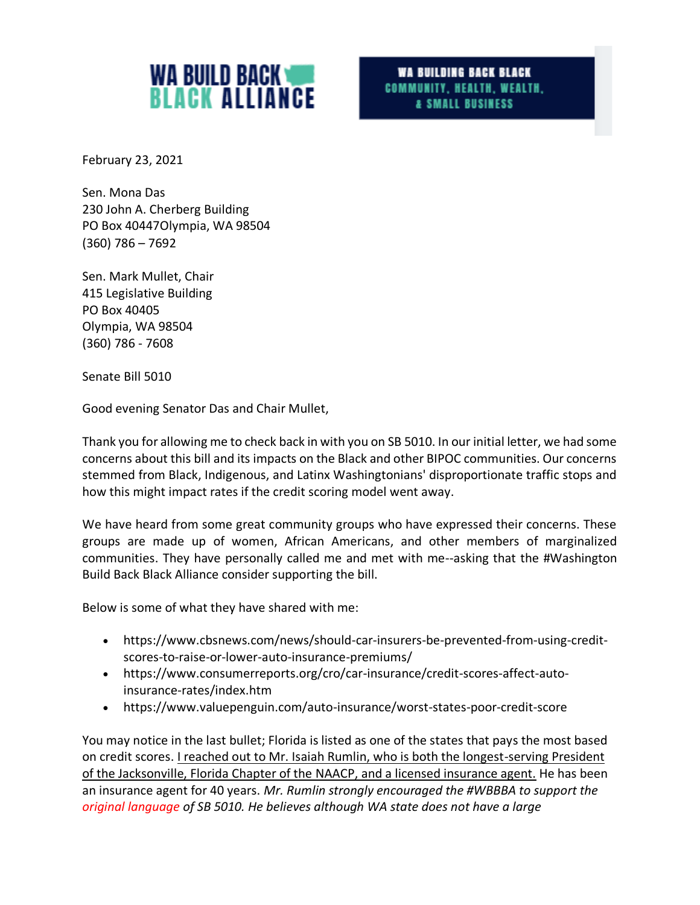

WA BUILDING BACK BLACK COMMUNITY, HEALTH, WEALTH, & SMALL BUSINESS

February 23, 2021

Sen. Mona Das 230 John A. Cherberg Building PO Box 40447Olympia, WA 98504 (360) 786 – 7692

Sen. Mark Mullet, Chair 415 Legislative Building PO Box 40405 Olympia, WA 98504 (360) 786 - 7608

Senate Bill 5010

Good evening Senator Das and Chair Mullet,

Thank you for allowing me to check back in with you on SB 5010. In our initial letter, we had some concerns about this bill and its impacts on the Black and other BIPOC communities. Our concerns stemmed from Black, Indigenous, and Latinx Washingtonians' disproportionate traffic stops and how this might impact rates if the credit scoring model went away.

We have heard from some great community groups who have expressed their concerns. These groups are made up of women, African Americans, and other members of marginalized communities. They have personally called me and met with me--asking that the #Washington Build Back Black Alliance consider supporting the bill.

Below is some of what they have shared with me:

- https://www.cbsnews.com/news/should-car-insurers-be-prevented-from-using-creditscores-to-raise-or-lower-auto-insurance-premiums/
- https://www.consumerreports.org/cro/car-insurance/credit-scores-affect-autoinsurance-rates/index.htm
- https://www.valuepenguin.com/auto-insurance/worst-states-poor-credit-score

You may notice in the last bullet; Florida is listed as one of the states that pays the most based on credit scores. I reached out to Mr. Isaiah Rumlin, who is both the longest-serving President of the Jacksonville, Florida Chapter of the NAACP, and a licensed insurance agent. He has been an insurance agent for 40 years. *Mr. Rumlin strongly encouraged the #WBBBA to support the original language of SB 5010. He believes although WA state does not have a large*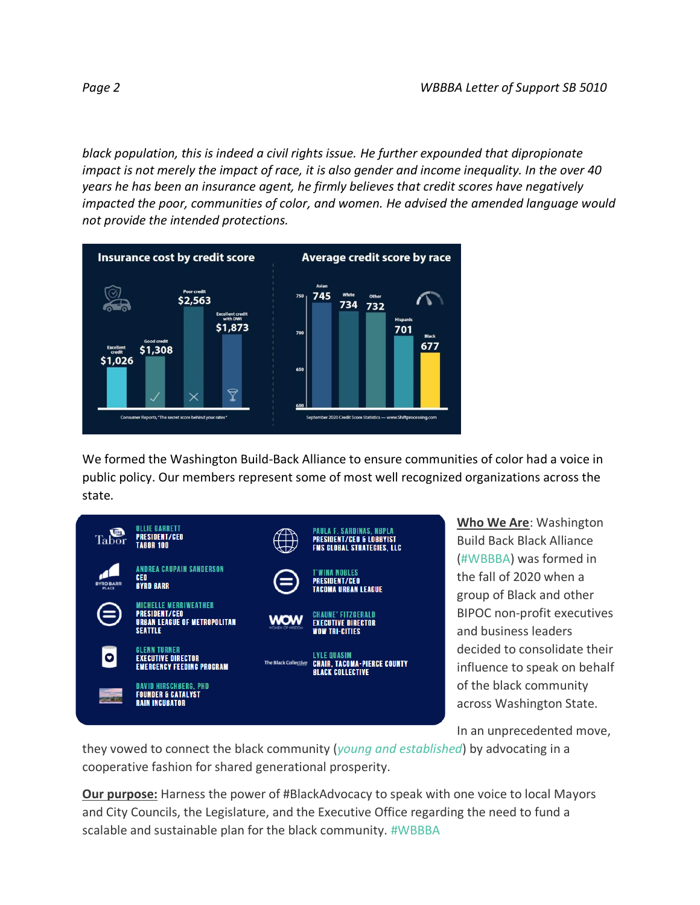*black population, this is indeed a civil rights issue. He further expounded that dipropionate impact is not merely the impact of race, it is also gender and income inequality. In the over 40 years he has been an insurance agent, he firmly believes that credit scores have negatively impacted the poor, communities of color, and women. He advised the amended language would not provide the intended protections.* 



We formed the Washington Build-Back Alliance to ensure communities of color had a voice in public policy. Our members represent some of most well recognized organizations across the state.



**Who We Are**: Washington Build Back Black Alliance (#WBBBA) was formed in the fall of 2020 when a group of Black and other BIPOC non-profit executives and business leaders decided to consolidate their influence to speak on behalf of the black community across Washington State.

In an unprecedented move,

they vowed to connect the black community (*young and established*) by advocating in a cooperative fashion for shared generational prosperity.

**Our purpose:** Harness the power of #BlackAdvocacy to speak with one voice to local Mayors and City Councils, the Legislature, and the Executive Office regarding the need to fund a scalable and sustainable plan for the black community. #WBBBA